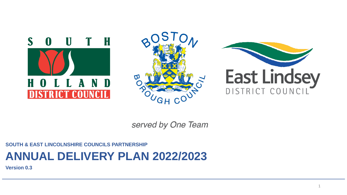





served by One Team

#### **SOUTH & EAST LINCOLNSHIRE COUNCILS PARTNERSHIP**

# **ANNUAL DELIVERY PLAN 2022/2023**

**Version 0.3**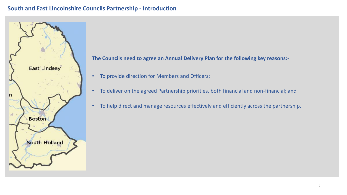#### **South and East Lincolnshire Councils Partnership - Introduction**



**The Councils need to agree an Annual Delivery Plan for the following key reasons:-**

- To provide direction for Members and Officers;
- To deliver on the agreed Partnership priorities, both financial and non-financial; and
- To help direct and manage resources effectively and efficiently across the partnership.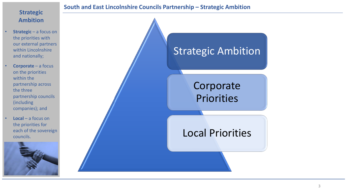### **Strategic Ambition**

- **Strategic** a focus on the priorities with our external partners within Lincolnshire and nationally;
- **Corporate**  a focus on the priorities within the partnership across the three partnership councils (including companies); and
	- **Local**  a focus on the priorities for each of the sovereign councils.





# Strategic Ambition

# Corporate Priorities

• Markets

• Local Plan Development

• Waste collection & recycling • Public Protection

> • Planning • Monitoring Officer • Data Protection

 $\overline{\phantom{a}}$ 

# Local Priorities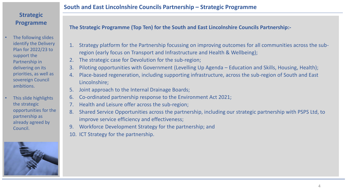- The following slides identify the Delivery Plan for 2022/23 to support the Partnership in delivering on its priorities, as well as sovereign Council ambitions.
- This slide highlights the strategic opportunities for the partnership as already agreed by Council.



**South and East Lincolnshire Councils Partnership – Strategic Programme** 

**The Strategic Programme (Top Ten) for the South and East Lincolnshire Councils Partnership:-**

- 1. Strategy platform for the Partnership focussing on improving outcomes for all communities across the subregion (early focus on Transport and Infrastructure and Health & Wellbeing);
- The strategic case for Devolution for the sub-region;
- 3. Piloting opportunities with Government (Levelling Up Agenda Education and Skills, Housing, Health);
- 4. Place-based regeneration, including supporting infrastructure, across the sub-region of South and East Lincolnshire;
- 5. Joint approach to the Internal Drainage Boards;
- 6. Co-ordinated partnership response to the Environment Act 2021;
- 7. Health and Leisure offer across the sub-region;
- 8. Shared Service Opportunities across the partnership, including our strategic partnership with PSPS Ltd, to improve service efficiency and effectiveness;
- 9. Workforce Development Strategy for the partnership; and
- 10. ICT Strategy for the partnership.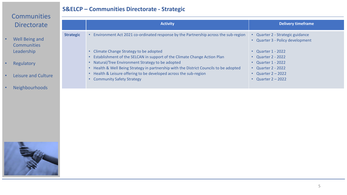## **Communities Directorate**

- Well Being and **Communities** Leadership
- Regulatory
- Leisure and Culture
- Neighbourhoods

| Environment Act 2021 co-ordinated response by the Partnership across the sub-region<br><b>Strategic</b><br>Quarter 2 - Strategic guidance<br>$\bullet$<br>Quarter 3 - Policy development<br>Climate Change Strategy to be adopted<br><b>Quarter 1 - 2022</b><br>$\bullet$<br>Establishment of the SELCAN in support of the Climate Change Action Plan<br><b>Quarter 2 - 2022</b><br>Natural/Tree Environment Strategy to be adopted<br><b>Quarter 1 - 2022</b><br>Health & Well Being Strategy in partnership with the District Councils to be adopted<br><b>Quarter 2 - 2022</b><br>Health & Leisure offering to be developed across the sub-region<br><b>Quarter 2 - 2022</b><br><b>Community Safety Strategy</b><br>Quarter $2 - 2022$<br>$\bullet$ | <b>Activity</b> | <b>Delivery timeframe</b> |
|--------------------------------------------------------------------------------------------------------------------------------------------------------------------------------------------------------------------------------------------------------------------------------------------------------------------------------------------------------------------------------------------------------------------------------------------------------------------------------------------------------------------------------------------------------------------------------------------------------------------------------------------------------------------------------------------------------------------------------------------------------|-----------------|---------------------------|
|                                                                                                                                                                                                                                                                                                                                                                                                                                                                                                                                                                                                                                                                                                                                                        |                 |                           |

**S&ELCP – Communities Directorate - Strategic**

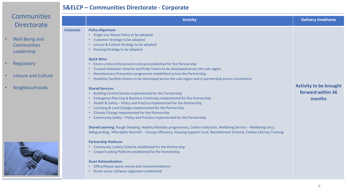#### **S&ELCP – Communities Directorate - Corporate**

| <b>Communities</b><br><b>Directorate</b>                        |                  | <b>Activity</b>                                                                                                                                                                                                                                                                                                                                                                                                                                                                                                                                                                                                                                                                                     | <b>Delivery timeframe</b>                                    |
|-----------------------------------------------------------------|------------------|-----------------------------------------------------------------------------------------------------------------------------------------------------------------------------------------------------------------------------------------------------------------------------------------------------------------------------------------------------------------------------------------------------------------------------------------------------------------------------------------------------------------------------------------------------------------------------------------------------------------------------------------------------------------------------------------------------|--------------------------------------------------------------|
| <b>Well Being and</b><br>$\bullet$<br>Communities<br>Leadership | <b>Corporate</b> | <b>Policy Alignment:</b><br>• Single Use Waste Policy to be adopted<br>• Customer Strategy to be adopted<br>• Leisure & Culture Strategy to be adopted<br>• Housing Strategy to be adopted                                                                                                                                                                                                                                                                                                                                                                                                                                                                                                          |                                                              |
| Regulatory                                                      |                  | <b>Quick Wins:</b><br>• Enviro-crime enforcement contract established for the Partnership<br>• Trusted Volunteer Scheme and Pride Teams to be developed across the sub-region                                                                                                                                                                                                                                                                                                                                                                                                                                                                                                                       |                                                              |
| Leisure and Culture                                             |                  | • Homelessness Prevention programme established across the Partnership<br>• Disability Facilities Grants to be developed across the sub-region and in partnership across Lincolnshire                                                                                                                                                                                                                                                                                                                                                                                                                                                                                                               |                                                              |
| <b>Neighbourhoods</b>                                           |                  | <b>Shared Services:</b><br>• Building Control Service implemented for the Partnership<br>Emergency Planning & Business Continuity implemented for the Partnership<br>• Health & Safety - Policy and Practice implemented for the Partnership<br>• Licensing & Land Charges implemented for the Partnership<br>• Climate Change implemented for the Partnership<br>• Community Safety - Policy and Practice implemented for the Partnership<br>Shared Learning: Rough Sleeping, Healthy lifestyles programmes, Carbon reduction, Wellbeing Service - Wellbeing Lincs,<br>Safeguarding, 'Affordable Warmth' - Energy Efficiency, Housing Support Fund, Resettlement Scheme, Carbon Literacy Training. | <b>Activity to be brought</b><br>forward within 36<br>months |
|                                                                 |                  | <b>Partnership Platform:</b><br>• Community Lottery Scheme established for the Partnership<br>• Crowd Funding Platform established for the Partnership                                                                                                                                                                                                                                                                                                                                                                                                                                                                                                                                              |                                                              |

#### **Asset Rationalisation**:

- Office/Depot space review and recommendations
- Street scene software alignment established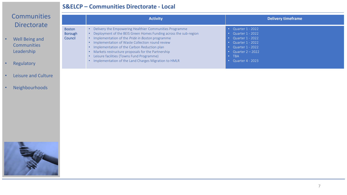#### **S&ELCP – Communities Directorate - Local**

# **Communities Directorate**

- Well Being and **Communities** Leadership
- Regulatory
- Leisure and Culture
- Neighbourhoods

|                                     | <b>Activity</b>                                                                                                                                                                                                                                                                                                                                                                                                                                        | <b>Delivery timeframe</b>                                                                                                                                    |
|-------------------------------------|--------------------------------------------------------------------------------------------------------------------------------------------------------------------------------------------------------------------------------------------------------------------------------------------------------------------------------------------------------------------------------------------------------------------------------------------------------|--------------------------------------------------------------------------------------------------------------------------------------------------------------|
| <b>Boston</b><br>Borough<br>Council | • Delivery the Empowering Healthier Communities Programme<br>• Deployment of the BEIS Green Homes Funding across the sub-region<br>• Implementation of the Pride in Boston programme<br>• Implementation of Waste Collection round review<br>• Implementation of the Carbon Reduction plan<br>• Markets restructure proposals for the Partnership<br>Leisure facilities (Towns Fund Programme)<br>Implementation of the Land Charges Migration to HMLR | Quarter 1 - 2022<br>Quarter 1 - 2022<br>Quarter 1 - 2022<br>Quarter 1 - 2022<br>• Quarter $1 - 2022$<br>Quarter $2 - 2022$<br><b>TBA</b><br>Quarter 4 - 2023 |

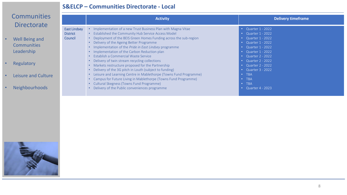#### **S&ELCP – Communities Directorate - Local**

| Communities                                                                     |                                                   | <b>Activity</b>                                                                                                                                                                                                                                                                                                                                                                                    | <b>Delivery timeframe</b>                                                                                                                    |
|---------------------------------------------------------------------------------|---------------------------------------------------|----------------------------------------------------------------------------------------------------------------------------------------------------------------------------------------------------------------------------------------------------------------------------------------------------------------------------------------------------------------------------------------------------|----------------------------------------------------------------------------------------------------------------------------------------------|
| <b>Directorate</b><br><b>Well Being and</b><br><b>Communities</b><br>Leadership | <b>East Lindsey</b><br><b>District</b><br>Council | Implementation of a new Trust Business Plan with Magna Vitae<br>• Established the Community Hub Service Access Model<br>• Deployment of the BEIS Green Homes Funding across the sub-region<br>• Delivery of the Ageing Better Programme<br>• Implementation of the Pride in East Lindsey programme<br>• Implementation of the Carbon Reduction plan<br><b>Establish a Commercial Waste Service</b> | • Quarter $1 - 2022$<br>Quarter 1 - 2022<br>Quarter 1 - 2022<br>Quarter 1 - 2022<br>Quarter 1 - 2022<br>Quarter 1 - 2022<br>Quarter 2 - 2022 |
| Regulatory                                                                      |                                                   | Delivery of twin stream recycling collections<br>Markets restructure proposed for the Partnership<br>Delivery of the 3G pitch in Louth (subject to funding)                                                                                                                                                                                                                                        | Quarter 2 - 2022<br>Quarter 2 - 2022<br>Quarter 3 - 2022                                                                                     |
| Leisure and Culture                                                             |                                                   | Leisure and Learning Centre in Mablethorpe (Towns Fund Programme)<br>Campus for Future Living in Mablethorpe (Towns Fund Programme)                                                                                                                                                                                                                                                                | <b>TBA</b><br><b>TBA</b>                                                                                                                     |
| <b>Neighbourhoods</b>                                                           |                                                   | Cultural Skegness (Towns Fund Programme)<br>Delivery of the Public conveniences programme                                                                                                                                                                                                                                                                                                          | <b>TBA</b><br>Quarter 4 - 2023                                                                                                               |

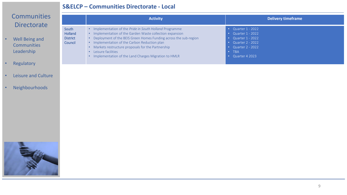#### **S&ELCP – Communities Directorate - Local**

# **Communities Directorate**

- Well Being and **Communities** Leadership
- Regulatory
- Leisure and Culture
- Neighbourhoods

|                                                | <b>Activity</b>                                                                                                                                                                                                                                                                                                                                                         | <b>Delivery timeframe</b>                                                                                                            |
|------------------------------------------------|-------------------------------------------------------------------------------------------------------------------------------------------------------------------------------------------------------------------------------------------------------------------------------------------------------------------------------------------------------------------------|--------------------------------------------------------------------------------------------------------------------------------------|
| South<br>Holland<br><b>District</b><br>Council | Implementation of the Pride in South Holland Programme<br>Implementation of the Garden Waste collection expansion<br>Deployment of the BEIS Green Homes Funding across the sub-region<br>Implementation of the Carbon Reduction plan<br>Markets restructure proposals for the Partnership<br>Leisure facilities<br>Implementation of the Land Charges Migration to HMLR | • Quarter $1 - 2022$<br>Quarter 1 - 2022<br>Quarter 1 - 2022<br>Quarter 2 - 2022<br>Quarter 2 - 2022<br><b>TBA</b><br>Quarter 4 2023 |

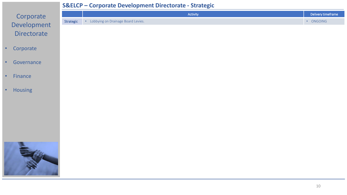#### **S&ELCP – Corporate Development Directorate - Strategic**



- Corporate
- Governance
- Finance
- Housing

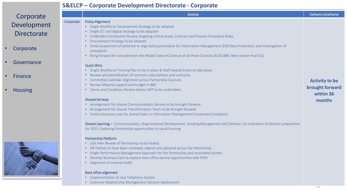#### **S&ELCP – Corporate Development Directorate - Corporate**

| Corporate          |           | Activity                                                                                                                                                  | Delivery timeframe    |
|--------------------|-----------|-----------------------------------------------------------------------------------------------------------------------------------------------------------|-----------------------|
|                    | Corporate | <b>Policy Alignment</b>                                                                                                                                   |                       |
| Development        |           | • Single Workforce Development Strategy to be adopted                                                                                                     |                       |
| <b>Directorate</b> |           | • Single ICT and Digital Strategy to be adopted                                                                                                           |                       |
|                    |           | • Undertake Constitution Review targeting critical areas, Contract and Finance Procedure Rules.                                                           |                       |
|                    |           | • Procurement Strategy to be adopted                                                                                                                      |                       |
| Corporate          |           | • Initial assessment of potential to align policy/procedure for Information Management (FOI/Data Protection) and investigation of                         |                       |
|                    |           | complaints                                                                                                                                                |                       |
|                    |           | • Bring forward for consideration the Model Code of Conduct at all three Councils (ELDC/BBC likely sooner than Q1)                                        |                       |
| Governance         |           |                                                                                                                                                           |                       |
|                    |           | <b>Quick Wins</b>                                                                                                                                         |                       |
|                    |           | • Single Workforce Training Plan to be in place & Staff Awards Event to take place.<br>• Review and identification of common subscriptions and contracts. |                       |
| Finance            |           | • Committee Calendar Alignment across Partnership Councils                                                                                                |                       |
|                    |           | • Review Mayoral support and budget in BBC                                                                                                                | <b>Activity to be</b> |
| <b>Housing</b>     |           | • Terms and Conditions Review below CMT to be undertaken.                                                                                                 | brought forward       |
|                    |           |                                                                                                                                                           | within 36             |
|                    |           | <b>Shared Services</b>                                                                                                                                    | months                |
|                    |           | • Arrangement for shared Communications Service to be brought forward.                                                                                    |                       |
|                    |           | • Arrangement for shared Transformation Team to be brought forward.                                                                                       |                       |
|                    |           | • Outline business case for shared team in Information Management/Corporate Complaints.                                                                   |                       |
|                    |           | Shared Learning - Communications, Organisational Development, Housing Management and Delivery, Co-ordination of election preparation                      |                       |
|                    |           | for 2023, Exploring Partnership opportunities in social housing.                                                                                          |                       |
|                    |           | <b>Partnership Platform</b>                                                                                                                               |                       |
|                    |           | • LGA Peer Review of Partnership to be hosted.                                                                                                            |                       |
|                    |           | • HR Policies to have been reviewed, aligned and adopted across the Partnership.                                                                          |                       |
|                    |           | • Single Performance Management approach for the Partnership and associated system.                                                                       |                       |
|                    |           | • Develop Business Case to explore back office service opportunities with PSPS                                                                            |                       |

• Alignment of Internal Audit

#### Back office alignment

- Implementation of new Telephony System
- Customer Relationship Management Solution deployment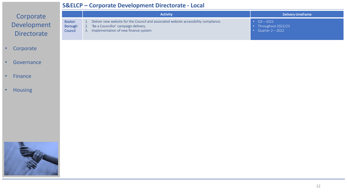### **S&ELCP – Corporate Development Directorate - Local**

| Corporate                         |                                            | <b>Activity</b>                                                                                                                                                               | Delivery timeframe                                                       |
|-----------------------------------|--------------------------------------------|-------------------------------------------------------------------------------------------------------------------------------------------------------------------------------|--------------------------------------------------------------------------|
| Development<br><b>Directorate</b> | <b>Boston</b><br><b>Borough</b><br>Council | 1. Deliver new website for the Council and associated website accessibility compliance.<br>2. 'Be a Councillor' campaign delivery.<br>3. Implementation of new finance system | • $Q3 - 2022$<br>Throughout 2022/23<br>$\bullet$<br>• Quarter $2 - 2022$ |
| Corporate<br>$\bullet$            |                                            |                                                                                                                                                                               |                                                                          |
| Governance<br>$\bullet$           |                                            |                                                                                                                                                                               |                                                                          |
| Finance<br>$\bullet$              |                                            |                                                                                                                                                                               |                                                                          |
| <b>Housing</b><br>$\bullet$       |                                            |                                                                                                                                                                               |                                                                          |
|                                   |                                            |                                                                                                                                                                               |                                                                          |
|                                   |                                            |                                                                                                                                                                               |                                                                          |
|                                   |                                            |                                                                                                                                                                               |                                                                          |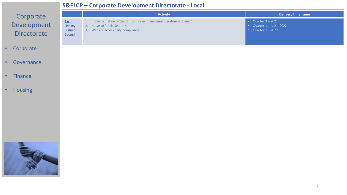#### **S&ELCP – Corporate Development Directorate - Local**

|                                                |                                               | <b>Activity</b>                                                                                                                             | <b>Delivery timeframe</b>                                                             |  |
|------------------------------------------------|-----------------------------------------------|---------------------------------------------------------------------------------------------------------------------------------------------|---------------------------------------------------------------------------------------|--|
| Corporate<br>Development<br><b>Directorate</b> | East<br>Lindsey<br><b>District</b><br>Council | 1. Implementation of the Uniform case. management system - phase 2.<br>2. Move to Public Sector Hub<br>3. Website accessibility compliance. | • Quarter $3 - 2022$<br>Quarter 1 and $2 - 2022$<br>$\bullet$<br>• Quarter $1 - 2022$ |  |
| Corporate<br>$\bullet$                         |                                               |                                                                                                                                             |                                                                                       |  |
| Governance<br>$\bullet$                        |                                               |                                                                                                                                             |                                                                                       |  |
| Finance<br>$\bullet$                           |                                               |                                                                                                                                             |                                                                                       |  |
| <b>Housing</b><br>$\bullet$                    |                                               |                                                                                                                                             |                                                                                       |  |
|                                                |                                               |                                                                                                                                             |                                                                                       |  |
|                                                |                                               |                                                                                                                                             |                                                                                       |  |
|                                                |                                               |                                                                                                                                             |                                                                                       |  |
|                                                |                                               |                                                                                                                                             | $\sim$                                                                                |  |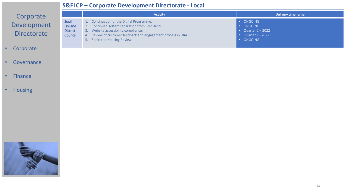#### **S&ELCP – Corporate Development Directorate - Local**

|                             | JQLLCI           | Corporate Development Directorate - Local                                                      |                                                |
|-----------------------------|------------------|------------------------------------------------------------------------------------------------|------------------------------------------------|
| Corporate                   |                  | <b>Activity</b>                                                                                | Delivery timeframe                             |
| Development                 | South<br>Holland | 1. Continuation of the Digital Programme.<br>Continued system separation from Breckland.<br>2. | · ONGOING<br>ONGOING<br>$\bullet$ .            |
| <b>Directorate</b>          | <b>District</b>  | Website accessibility compliance.<br>3.                                                        | • Quarter $2 - 2022$                           |
|                             | Council          | 4. Review of customer feedback and engagement process in HRA.<br>5. Sheltered Housing Review   | • Quarter $1 - 2022$<br>ONGOING<br>$\bullet$ . |
| Corporate                   |                  |                                                                                                |                                                |
|                             |                  |                                                                                                |                                                |
| Governance                  |                  |                                                                                                |                                                |
|                             |                  |                                                                                                |                                                |
| Finance<br>$\bullet$        |                  |                                                                                                |                                                |
| <b>Housing</b><br>$\bullet$ |                  |                                                                                                |                                                |
|                             |                  |                                                                                                |                                                |
|                             |                  |                                                                                                |                                                |
|                             |                  |                                                                                                |                                                |
|                             |                  |                                                                                                |                                                |
|                             |                  |                                                                                                |                                                |
|                             |                  |                                                                                                |                                                |
|                             |                  |                                                                                                |                                                |
|                             |                  |                                                                                                |                                                |
|                             |                  |                                                                                                |                                                |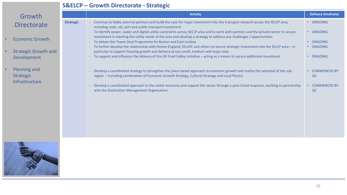### **S&ELCP – Growth Directorate - Strategic**

| Growth                                                                      |                  | <b>Activity</b>                                                                                                                                                                                                                                                                                                                                                                                                                                                                                                                                                                                                                                                                              | <b>Delivery timeframe</b>                                                 |
|-----------------------------------------------------------------------------|------------------|----------------------------------------------------------------------------------------------------------------------------------------------------------------------------------------------------------------------------------------------------------------------------------------------------------------------------------------------------------------------------------------------------------------------------------------------------------------------------------------------------------------------------------------------------------------------------------------------------------------------------------------------------------------------------------------------|---------------------------------------------------------------------------|
| Directorate                                                                 | <b>Strategic</b> | Continue to lobby external partners and build the case for major investment into the transport network across the SELCP area,<br>including road, rail, port and public transport investment                                                                                                                                                                                                                                                                                                                                                                                                                                                                                                  | • ONGOING                                                                 |
| <b>Economic Growth</b><br><b>Strategic Growth and</b><br><b>Development</b> |                  | To identify power, water and digital utility constraints across SECLP area and to work with partners and the private sector to secure<br>investment in meeting the utility needs of the area and develop a strategy to address any challenges / opportunities<br>To deliver the Towns Deal Programme for Boston and East Lindsey<br>To further develop the relationship with Homes England, DLUHC and others to secure strategic investment into the SELCP area - in<br>particular to support housing growth and delivery across small, medium and major sites<br>To support and influence the delivery of the UK Food Valley initiative - acting as a means to secure additional investment | • ONGOING<br>• ONGOING<br>• ONGOING<br>ONGOING<br>$\bullet$               |
| Planning and<br><b>Strategic</b><br>Infrastructure                          |                  | Develop a coordinated strategy to strengthen the place-based approach to economic growth and realise the potential of the sub-<br>region - including combination of Economic Growth Strategy, Cultural Strategy and Local Plan(s)<br>Develop a coordinated approach to the visitor economy and support the sector through a post-Covid response, working in partnership<br>with the Destination Management Organisation.                                                                                                                                                                                                                                                                     | • COMMENCED BY<br>Q <sub>2</sub><br><b>COMMENCED BY</b><br>Q <sub>2</sub> |

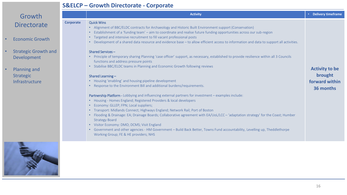#### **S&ELCP – Growth Directorate - Corporate**

| Growth             |
|--------------------|
| <b>Directorate</b> |

- Economic Growth
- Strategic Growth and Development
- Planning and Strategic Infrastructure



|           | <b>Activity</b>                                                                                                                                                                                                                                                                                                                                                                                                                                                                                                                                                                                                                                                                                                                                                                                                                                                                                                                                                                                                                                                                                                                                                                                                                                                                                                                                                                                                                                                                                                                                                                                                | <b>Delivery timeframe</b><br>$\bullet$                          |
|-----------|----------------------------------------------------------------------------------------------------------------------------------------------------------------------------------------------------------------------------------------------------------------------------------------------------------------------------------------------------------------------------------------------------------------------------------------------------------------------------------------------------------------------------------------------------------------------------------------------------------------------------------------------------------------------------------------------------------------------------------------------------------------------------------------------------------------------------------------------------------------------------------------------------------------------------------------------------------------------------------------------------------------------------------------------------------------------------------------------------------------------------------------------------------------------------------------------------------------------------------------------------------------------------------------------------------------------------------------------------------------------------------------------------------------------------------------------------------------------------------------------------------------------------------------------------------------------------------------------------------------|-----------------------------------------------------------------|
| Corporate | <b>Quick Wins</b><br>• Alignment of BBC/ELDC contracts for Archaeology and Historic Built Environment support (Conservation)<br>Establishment of a 'funding team' - aim to coordinate and realise future funding opportunities across our sub-region<br>Targeted and intensive recruitment to fill vacant professional posts<br>Development of a shared data resource and evidence base – to allow efficient access to information and data to support all activities.<br>Shared Services-<br>Principle of temporary sharing Planning 'case officer' support, as necessary, established to provide resilience within all 3 Councils<br>functions and address pressure points<br>Stabilise BBC/ELDC teams in Planning and Economic Growth following reviews<br>Shared Learning-<br>Housing 'enabling' and housing pipeline development<br>Response to the Environment Bill and additional burdens/requirements.<br>Partnership Platform - Lobbying and influencing external partners for investment – examples include:<br>Housing - Homes England; Registered Providers & local developers<br>Economy: GLLEP; FPN; Local suppliers;<br>Transport: Midlands Connect; Highways England; Network Rail; Port of Boston<br>Flooding & Drainage: EA; Drainage Boards; Collaborative agreement with EA/UoL/LCC - 'adaptation strategy' for the Coast; Humber<br><b>Strategy Board</b><br>Visitor Economy: DMO; DCMS; Visit England<br>$\bullet$<br>Government and other agencies - HM Government - Build Back Better, Towns Fund accountability, Levelling up, Theddlethorpe<br>Working Group; FE & HE providers; NHS | <b>Activity to be</b><br>brought<br>forward within<br>36 months |
|           |                                                                                                                                                                                                                                                                                                                                                                                                                                                                                                                                                                                                                                                                                                                                                                                                                                                                                                                                                                                                                                                                                                                                                                                                                                                                                                                                                                                                                                                                                                                                                                                                                |                                                                 |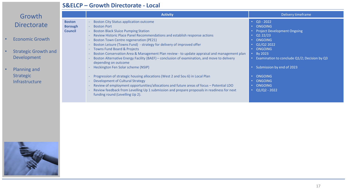### **S&ELCP – Growth Directorate - Local**

| Growth                                                           |                                                   | <b>Activity</b>                                                                                                                                                                                                                                                                                                                                                                      | Delivery timeframe                                                           |  |
|------------------------------------------------------------------|---------------------------------------------------|--------------------------------------------------------------------------------------------------------------------------------------------------------------------------------------------------------------------------------------------------------------------------------------------------------------------------------------------------------------------------------------|------------------------------------------------------------------------------|--|
| <b>Directorate</b>                                               | <b>Boston</b><br><b>Borough</b><br><b>Council</b> | <b>Boston City Status application outcome</b><br><b>Boston Port</b><br>$\sim$ .<br><b>Boston Black Sluice Pumping Station</b>                                                                                                                                                                                                                                                        | • $Q3 - 2022$<br>ONGOING<br><b>Project Development Ongoing</b>               |  |
| <b>Economic Growth</b>                                           |                                                   | Review Historic Place Panel Recommendations and establish response actions<br><b>Boston Town Centre regeneration (PE21)</b><br>Boston Leisure (Towns Fund) - strategy for delivery of improved offer                                                                                                                                                                                 | Q122/23<br>ONGOING<br>Q1/Q2 2022                                             |  |
| <b>Strategic Growth and</b><br><b>Development</b>                |                                                   | <b>Towns Fund Board &amp; Projects</b><br>Boston Conservation Area & Management Plan review - to update appraisal and management plan<br>Boston Alternative Energy Facility (BAEF) – conclusion of examination, and move to delivery<br>depending on outcome                                                                                                                         | ONGOING<br>$\cdot$ By 2023<br>Examination to conclude Q1/2; Decision by Q3   |  |
| <b>Planning and</b><br><b>Strategic</b><br><b>Infrastructure</b> |                                                   | Heckington Fen Solar scheme (NSIP)<br>Progression of strategic housing allocations (West 2 and Sou 6) in Local Plan<br>Development of Cultural Strategy<br>Review of employment opportunities/allocations and future areas of focus - Potential LDO<br>Review feedback from Levelling Up 1 submission and prepare proposals in readiness for next<br>funding round (Levelling Up 2). | Submission by end of 2023<br>ONGOING<br>ONGOING<br>ONGOING<br>$Q1/Q2 - 2022$ |  |

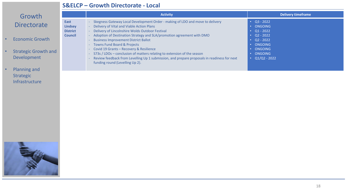#### **S&ELCP – Growth Directorate - Local**

# Growth **Directorate**

- Economic Growth
- Strategic Growth and Development
- Planning and Strategic Infrastructure

|                                                             | <b>Activity</b>                                                                                                                                                                                                                                                                                                                                                                                                                                                                                                                                                                                           | <b>Delivery timeframe</b>                                                                                                    |
|-------------------------------------------------------------|-----------------------------------------------------------------------------------------------------------------------------------------------------------------------------------------------------------------------------------------------------------------------------------------------------------------------------------------------------------------------------------------------------------------------------------------------------------------------------------------------------------------------------------------------------------------------------------------------------------|------------------------------------------------------------------------------------------------------------------------------|
| East<br><b>Lindsey</b><br><b>District</b><br><b>Council</b> | Skegness Gateway Local Development Order - making of LDO and move to delivery<br>Delivery of Vital and Viable Action Plans<br>Delivery of Lincolnshire Wolds Outdoor Festival<br>Adoption of Destination Strategy and SLA/promotion agreement with DMO<br><b>Business Improvement District Ballot</b><br><b>Towns Fund Board &amp; Projects</b><br>Covid 19 Grants - Recovery & Resilience<br>- S73s / LDOs – conclusion of matters relating to extension of the season<br>Review feedback from Levelling Up 1 submission, and prepare proposals in readiness for next<br>funding round (Levelling Up 2). | $\cdot$ Q3 - 2022<br>ONGOING<br>$Q1 - 2022$<br>$Q2 - 2022$<br>$Q2 - 2022$<br>ONGOING<br>ONGOING<br>ONGOING<br>$Q1/Q2 - 2022$ |

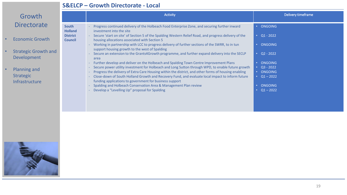#### **S&ELCP – Growth Directorate - Local**

| Growth                      |                                   | <b>Activity</b>                                                                                                                                                                                           | Delivery timeframe     |
|-----------------------------|-----------------------------------|-----------------------------------------------------------------------------------------------------------------------------------------------------------------------------------------------------------|------------------------|
| <b>Directorate</b>          | <b>South</b><br><b>Holland</b>    | Progress continued delivery of the Holbeach Food Enterprise Zone, and securing further inward<br>investment into the site                                                                                 | ONGOING<br>$\bullet$ . |
| <b>Economic Growth</b>      | <b>District</b><br><b>Council</b> | - Secure 'start on site' of Section 5 of the Spalding Western Relief Road, and progress delivery of the<br>housing allocations associated with Section 5                                                  | $\overline{Q1}$ - 2022 |
| <b>Strategic Growth and</b> |                                   | Working in partnership with LCC to progress delivery of further sections of the SWRR, to in tun<br>support housing growth to the west of Spalding                                                         | <b>ONGOING</b>         |
| <b>Development</b>          |                                   | Secure an extension to the Grants4Growth programme, and further expand delivery into the SECLP<br>area                                                                                                    | $Q2 - 2022$            |
|                             |                                   | Further develop and deliver on the Holbeach and Spalding Town Centre Improvement Plans                                                                                                                    | ONGOING                |
| Planning and                |                                   | Secure power utility investment for Holbeach and Long Sutton through WPD, to enable future growth<br>Progress the delivery of Extra Care Housing within the district, and other forms of housing enabling | $Q3 - 2022$<br>ONGOING |
| <b>Strategic</b>            |                                   | Close-down of South Holland Growth and Recovery Fund, and evaluate local impact to inform future<br>funding applications to government for business support                                               | • $Q1 - 2022$          |
| Infrastructure              |                                   | Spalding and Holbeach Conservation Area & Management Plan review                                                                                                                                          | <b>ONGOING</b>         |
|                             |                                   | Develop a "Levelling Up" proposal for Spalding                                                                                                                                                            | $Q1 - 2022$            |
|                             |                                   |                                                                                                                                                                                                           |                        |

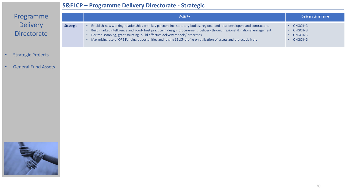#### **S&ELCP – Programme Delivery Directorate - Strategic**



- Strategic Projects
- General Fund Assets

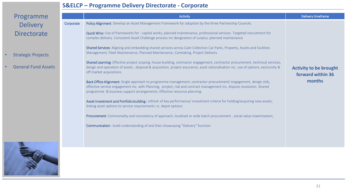### **S&ELCP – Programme Delivery Directorate - Corporate**

| Programme                                                                                        |           | Activity                                                                                                                                                                                                                                                                                                                                                                                                                                                                                                                                                                                                                                                                                                                                                                                                                                                                                                                                                                                                                                                                                                                                                                                                                                                                                                                                                                                                                                                                                                                                                                                                    | Delivery timeframe                                           |
|--------------------------------------------------------------------------------------------------|-----------|-------------------------------------------------------------------------------------------------------------------------------------------------------------------------------------------------------------------------------------------------------------------------------------------------------------------------------------------------------------------------------------------------------------------------------------------------------------------------------------------------------------------------------------------------------------------------------------------------------------------------------------------------------------------------------------------------------------------------------------------------------------------------------------------------------------------------------------------------------------------------------------------------------------------------------------------------------------------------------------------------------------------------------------------------------------------------------------------------------------------------------------------------------------------------------------------------------------------------------------------------------------------------------------------------------------------------------------------------------------------------------------------------------------------------------------------------------------------------------------------------------------------------------------------------------------------------------------------------------------|--------------------------------------------------------------|
| <b>Delivery</b><br><b>Directorate</b><br><b>Strategic Projects</b><br><b>General Fund Assets</b> | Corporate | Policy Alignment Develop an Asset Management Framework for adoption by the three Partnership Councils.<br>Quick Wins: Use of frameworks for - capital works, planned maintenance, professional services. Targeted recruitment for<br>complex delivery. Consistent Asset Challenge process inc designation of surplus, planned maintenance<br>Shared Services: Aligning and embedding shared services across Cash Collection Car Parks, Property, Assets and Facilities<br>Management, Fleet Maintenance, Planned Maintenance, Caretaking, Project Delivery<br>Shared Learning: Effective project scoping, house building, contractor engagement, contractor procurement, technical services,<br>design and operation of assets, disposal & acquisition, project assurance, asset rationalisation inc. use of options, exclusivity &<br>off market acquisitions.<br>Back Office Alignment: Single approach to programme management, contractor procurement/ engagement, design stds,<br>effective service engagement inc. with Planning, project, risk and contract management inc. dispute resolution. Shared<br>programme & business support arrangements. Effective resource planning.<br>Asset Investment and Portfolio building: refresh of key performance/investment criteria for holding/acquiring new assets,<br>linking asset options to service requirements i.e. depot options<br>Procurement: Commonality and consistency of approach, localised or wide batch procurement, social value maximisation,<br><b>Communication</b> : build understanding of and then showcasing "Delivery" function | <b>Activity to be brought</b><br>forward within 36<br>months |
|                                                                                                  |           |                                                                                                                                                                                                                                                                                                                                                                                                                                                                                                                                                                                                                                                                                                                                                                                                                                                                                                                                                                                                                                                                                                                                                                                                                                                                                                                                                                                                                                                                                                                                                                                                             |                                                              |

21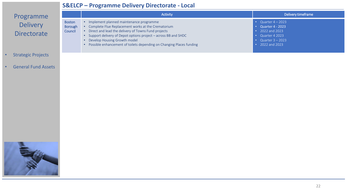#### **S&ELCP – Programme Delivery Directorate - Local**

## Programme Delivery **Directorate**

|                                            | <b>Activity</b>                                                                                                                                                                                                                                                                                                                      | Delivery timeframe                                                                                                      |
|--------------------------------------------|--------------------------------------------------------------------------------------------------------------------------------------------------------------------------------------------------------------------------------------------------------------------------------------------------------------------------------------|-------------------------------------------------------------------------------------------------------------------------|
| <b>Boston</b><br><b>Borough</b><br>Council | · Implement planned maintenance programme<br>Complete Flue Replacement works at the Crematorium<br>• Direct and lead the delivery of Towns Fund projects<br>• Support delivery of Depot options project – across BB and SHDC<br>Develop Housing Growth model<br>Possible enhancement of toilets depending on Changing Places funding | Quarter $4 - 2023$<br><b>Quarter 4 - 2023</b><br>2022 and 2023<br>Quarter 4 2023<br>Quarter $3 - 2023$<br>2022 and 2023 |

- Strategic Projects
- General Fund Assets

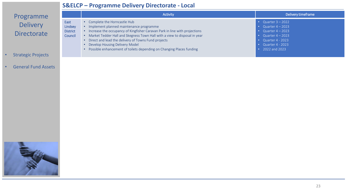### **S&ELCP – Programme Delivery Directorate - Local**

## Programme Delivery **Directorate**

|                                               | Activity                                                                                                                                                                                                                                                                                                                                                                                           | Delivery timeframe                                                                                                                                      |
|-----------------------------------------------|----------------------------------------------------------------------------------------------------------------------------------------------------------------------------------------------------------------------------------------------------------------------------------------------------------------------------------------------------------------------------------------------------|---------------------------------------------------------------------------------------------------------------------------------------------------------|
| East<br>Lindsey<br><b>District</b><br>Council | Complete the Horncastle Hub<br>Implement planned maintenance programme<br>Increase the occupancy of Kingfisher Caravan Park in line with projections<br>Market Tedder Hall and Skegness Town Hall with a view to disposal in year<br>Direct and lead the delivery of Towns Fund projects<br>Develop Housing Delivery Model<br>Possible enhancement of toilets depending on Changing Places funding | • Quarter $3 - 2022$<br>• Quarter $4 - 2023$<br>Quarter $4 - 2023$<br>• Quarter $4 - 2023$<br>• Quarter $4 - 2023$<br>Quarter 4 - 2023<br>2022 and 2023 |

- Strategic Projects
- General Fund Assets